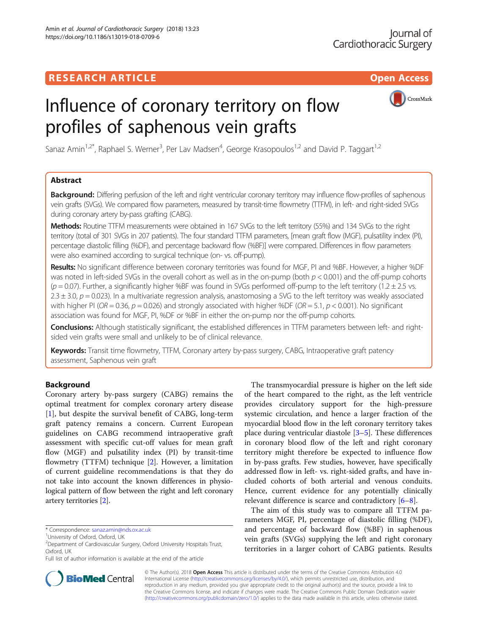# **RESEARCH ARTICLE Example 2018 12:30 THE OPEN ACCESS**



# Influence of coronary territory on flow profiles of saphenous vein grafts

Sanaz Amin<sup>1,2\*</sup>, Raphael S. Werner<sup>3</sup>, Per Lav Madsen<sup>4</sup>, George Krasopoulos<sup>1,2</sup> and David P. Taggart<sup>1,2</sup>

# Abstract

**Background:** Differing perfusion of the left and right ventricular coronary territory may influence flow-profiles of saphenous vein grafts (SVGs). We compared flow parameters, measured by transit-time flowmetry (TTFM), in left- and right-sided SVGs during coronary artery by-pass grafting (CABG).

Methods: Routine TTFM measurements were obtained in 167 SVGs to the left territory (55%) and 134 SVGs to the right territory (total of 301 SVGs in 207 patients). The four standard TTFM parameters, [mean graft flow (MGF), pulsatility index (PI), percentage diastolic filling (%DF), and percentage backward flow (%BF)] were compared. Differences in flow parameters were also examined according to surgical technique (on- vs. off-pump).

Results: No significant difference between coronary territories was found for MGF, PI and %BF. However, a higher %DF was noted in left-sided SVGs in the overall cohort as well as in the on-pump (both  $p < 0.001$ ) and the off-pump cohorts  $(p = 0.07)$ . Further, a significantly higher %BF was found in SVGs performed off-pump to the left territory (1.2 ± 2.5 vs.  $2.3 \pm 3.0$ ,  $p = 0.023$ ). In a multivariate regression analysis, anastomosing a SVG to the left territory was weakly associated with higher PI (OR = 0.36,  $p = 0.026$ ) and strongly associated with higher %DF (OR = 5.1,  $p < 0.001$ ). No significant association was found for MGF, PI, %DF or %BF in either the on-pump nor the off-pump cohorts.

Conclusions: Although statistically significant, the established differences in TTFM parameters between left- and rightsided vein grafts were small and unlikely to be of clinical relevance.

Keywords: Transit time flowmetry, TTFM, Coronary artery by-pass surgery, CABG, Intraoperative graft patency assessment, Saphenous vein graft

# Background

Coronary artery by-pass surgery (CABG) remains the optimal treatment for complex coronary artery disease [[1\]](#page-6-0), but despite the survival benefit of CABG, long-term graft patency remains a concern. Current European guidelines on CABG recommend intraoperative graft assessment with specific cut-off values for mean graft flow (MGF) and pulsatility index (PI) by transit-time flowmetry (TTFM) technique [[2\]](#page-6-0). However, a limitation of current guideline recommendations is that they do not take into account the known differences in physiological pattern of flow between the right and left coronary artery territories [\[2](#page-6-0)].

The transmyocardial pressure is higher on the left side of the heart compared to the right, as the left ventricle provides circulatory support for the high-pressure systemic circulation, and hence a larger fraction of the myocardial blood flow in the left coronary territory takes place during ventricular diastole [\[3](#page-6-0)–[5\]](#page-6-0). These differences in coronary blood flow of the left and right coronary territory might therefore be expected to influence flow in by-pass grafts. Few studies, however, have specifically addressed flow in left- vs. right-sided grafts, and have included cohorts of both arterial and venous conduits. Hence, current evidence for any potentially clinically relevant difference is scarce and contradictory [\[6](#page-6-0)–[8](#page-6-0)].

The aim of this study was to compare all TTFM parameters MGF, PI, percentage of diastolic filling (%DF), and percentage of backward flow (%BF) in saphenous vein grafts (SVGs) supplying the left and right coronary territories in a larger cohort of CABG patients. Results



© The Author(s). 2018 Open Access This article is distributed under the terms of the Creative Commons Attribution 4.0 International License [\(http://creativecommons.org/licenses/by/4.0/](http://creativecommons.org/licenses/by/4.0/)), which permits unrestricted use, distribution, and reproduction in any medium, provided you give appropriate credit to the original author(s) and the source, provide a link to the Creative Commons license, and indicate if changes were made. The Creative Commons Public Domain Dedication waiver [\(http://creativecommons.org/publicdomain/zero/1.0/](http://creativecommons.org/publicdomain/zero/1.0/)) applies to the data made available in this article, unless otherwise stated.

<sup>\*</sup> Correspondence: [sanaz.amin@nds.ox.ac.uk](mailto:sanaz.amin@nds.ox.ac.uk) <sup>1</sup>

University of Oxford, Oxford, UK

<sup>&</sup>lt;sup>2</sup> Department of Cardiovascular Surgery, Oxford University Hospitals Trust, Oxford, UK

Full list of author information is available at the end of the article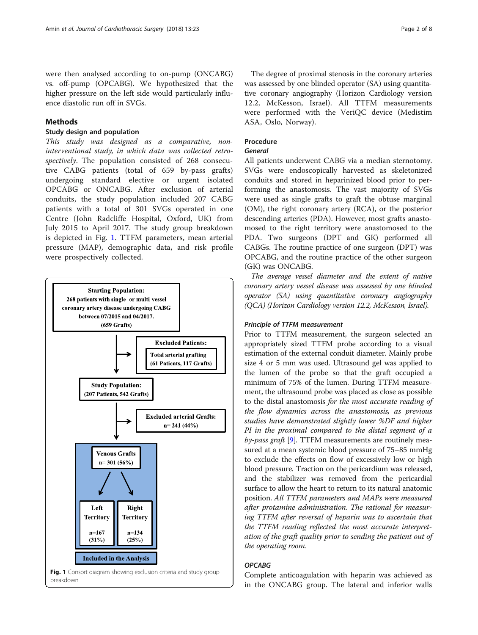<span id="page-1-0"></span>were then analysed according to on-pump (ONCABG) vs. off-pump (OPCABG). We hypothesized that the higher pressure on the left side would particularly influence diastolic run off in SVGs.

## Methods

# Study design and population

This study was designed as a comparative, noninterventional study, in which data was collected retrospectively. The population consisted of 268 consecutive CABG patients (total of 659 by-pass grafts) undergoing standard elective or urgent isolated OPCABG or ONCABG. After exclusion of arterial conduits, the study population included 207 CABG patients with a total of 301 SVGs operated in one Centre (John Radcliffe Hospital, Oxford, UK) from July 2015 to April 2017. The study group breakdown is depicted in Fig. 1. TTFM parameters, mean arterial pressure (MAP), demographic data, and risk profile were prospectively collected.



Fig. 1 Consort diagram showing exclusion criteria and study group breakdown

The degree of proximal stenosis in the coronary arteries was assessed by one blinded operator (SA) using quantitative coronary angiography (Horizon Cardiology version 12.2, McKesson, Israel). All TTFM measurements were performed with the VeriQC device (Medistim ASA, Oslo, Norway).

# Procedure

## General

All patients underwent CABG via a median sternotomy. SVGs were endoscopically harvested as skeletonized conduits and stored in heparinized blood prior to performing the anastomosis. The vast majority of SVGs were used as single grafts to graft the obtuse marginal (OM), the right coronary artery (RCA), or the posterior descending arteries (PDA). However, most grafts anastomosed to the right territory were anastomosed to the PDA. Two surgeons (DPT and GK) performed all CABGs. The routine practice of one surgeon (DPT) was OPCABG, and the routine practice of the other surgeon (GK) was ONCABG.

The average vessel diameter and the extent of native coronary artery vessel disease was assessed by one blinded operator (SA) using quantitative coronary angiography (QCA) (Horizon Cardiology version 12.2, McKesson, Israel).

#### Principle of TTFM measurement

Prior to TTFM measurement, the surgeon selected an appropriately sized TTFM probe according to a visual estimation of the external conduit diameter. Mainly probe size 4 or 5 mm was used. Ultrasound gel was applied to the lumen of the probe so that the graft occupied a minimum of 75% of the lumen. During TTFM measurement, the ultrasound probe was placed as close as possible to the distal anastomosis for the most accurate reading of the flow dynamics across the anastomosis, as previous studies have demonstrated slightly lower %DF and higher PI in the proximal compared to the distal segment of a by-pass graft  $[9]$ . TTFM measurements are routinely measured at a mean systemic blood pressure of 75–85 mmHg to exclude the effects on flow of excessively low or high blood pressure. Traction on the pericardium was released, and the stabilizer was removed from the pericardial surface to allow the heart to return to its natural anatomic position. All TTFM parameters and MAPs were measured after protamine administration. The rational for measuring TTFM after reversal of heparin was to ascertain that the TTFM reading reflected the most accurate interpretation of the graft quality prior to sending the patient out of the operating room.

# **OPCABG**

Complete anticoagulation with heparin was achieved as in the ONCABG group. The lateral and inferior walls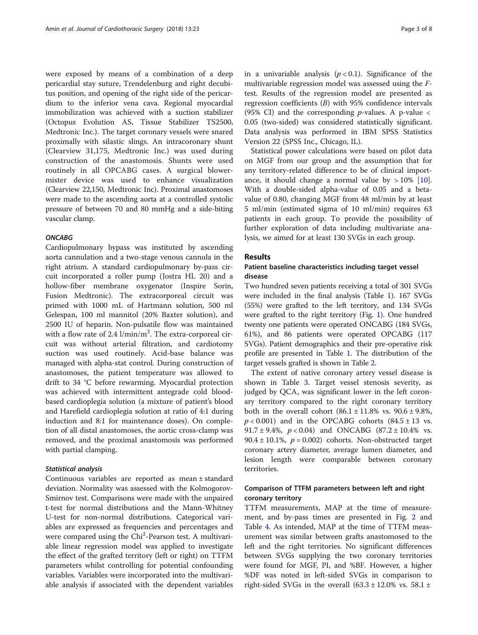were exposed by means of a combination of a deep pericardial stay suture, Trendelenburg and right decubitus position, and opening of the right side of the pericardium to the inferior vena cava. Regional myocardial immobilization was achieved with a suction stabilizer (Octopus Evolution AS, Tissue Stabilizer TS2500, Medtronic Inc.). The target coronary vessels were snared proximally with silastic slings. An intracoronary shunt (Clearview 31,175, Medtronic Inc.) was used during construction of the anastomosis. Shunts were used routinely in all OPCABG cases. A surgical blowermister device was used to enhance visualization (Clearview 22,150, Medtronic Inc). Proximal anastomoses were made to the ascending aorta at a controlled systolic pressure of between 70 and 80 mmHg and a side-biting vascular clamp.

#### **ONCABG**

Cardiopulmonary bypass was instituted by ascending aorta cannulation and a two-stage venous cannula in the right atrium. A standard cardiopulmonary by-pass circuit incorporated a roller pump (Jostra HL 20) and a hollow-fiber membrane oxygenator (Inspire Sorin, Fusion Medtronic). The extracorporeal circuit was primed with 1000 mL of Hartmann solution, 500 ml Gelespan, 100 ml mannitol (20% Baxter solution), and 2500 IU of heparin. Non-pulsatile flow was maintained with a flow rate of 2.4 l/min/m<sup>2</sup>. The extra-corporeal circuit was without arterial filtration, and cardiotomy suction was used routinely. Acid-base balance was managed with alpha-stat control. During construction of anastomoses, the patient temperature was allowed to drift to 34 °C before rewarming. Myocardial protection was achieved with intermittent antegrade cold bloodbased cardioplegia solution (a mixture of patient's blood and Harefield cardioplegia solution at ratio of 4:1 during induction and 8:1 for maintenance doses). On completion of all distal anastomoses, the aortic cross-clamp was removed, and the proximal anastomosis was performed with partial clamping.

#### Statistical analysis

Continuous variables are reported as mean ± standard deviation. Normality was assessed with the Kolmogorov-Smirnov test. Comparisons were made with the unpaired t-test for normal distributions and the Mann-Whitney U-test for non-normal distributions. Categorical variables are expressed as frequencies and percentages and were compared using the Chi<sup>2</sup>-Pearson test. A multivariable linear regression model was applied to investigate the effect of the grafted territory (left or right) on TTFM parameters whilst controlling for potential confounding variables. Variables were incorporated into the multivariable analysis if associated with the dependent variables in a univariable analysis  $(p < 0.1)$ . Significance of the multivariable regression model was assessed using the Ftest. Results of the regression model are presented as regression coefficients (B) with 95% confidence intervals (95% CI) and the corresponding  $p$ -values. A p-value < 0.05 (two-sided) was considered statistically significant. Data analysis was performed in IBM SPSS Statistics Version 22 (SPSS Inc., Chicago, IL).

Statistical power calculations were based on pilot data on MGF from our group and the assumption that for any territory-related difference to be of clinical importance, it should change a normal value by  $>10\%$  [\[10](#page-7-0)]. With a double-sided alpha-value of 0.05 and a betavalue of 0.80, changing MGF from 48 ml/min by at least 5 ml/min (estimated sigma of 10 ml/min) requires 63 patients in each group. To provide the possibility of further exploration of data including multivariate analysis, we aimed for at least 130 SVGs in each group.

#### Results

# Patient baseline characteristics including target vessel disease

Two hundred seven patients receiving a total of 301 SVGs were included in the final analysis (Table [1](#page-3-0)). 167 SVGs (55%) were grafted to the left territory, and 134 SVGs were grafted to the right territory (Fig. [1](#page-1-0)). One hundred twenty one patients were operated ONCABG (184 SVGs, 61%), and 86 patients were operated OPCABG (117 SVGs). Patient demographics and their pre-operative risk profile are presented in Table [1.](#page-3-0) The distribution of the target vessels grafted is shown in Table [2](#page-3-0).

The extent of native coronary artery vessel disease is shown in Table [3.](#page-4-0) Target vessel stenosis severity, as judged by QCA, was significant lower in the left coronary territory compared to the right coronary territory both in the overall cohort  $(86.1 \pm 11.8\% \text{ vs. } 90.6 \pm 9.8\%$ ,  $p < 0.001$ ) and in the OPCABG cohorts (84.5 ± 13 vs. 91.7 ± 9.4%,  $p < 0.04$ ) and ONCABG (87.2 ± 10.4% vs. 90.4  $\pm$  10.1%,  $p = 0.002$ ) cohorts. Non-obstructed target coronary artery diameter, average lumen diameter, and lesion length were comparable between coronary territories.

# Comparison of TTFM parameters between left and right coronary territory

TTFM measurements, MAP at the time of measurement, and by-pass times are presented in Fig. [2](#page-5-0) and Table [4](#page-5-0). As intended, MAP at the time of TTFM measurement was similar between grafts anastomosed to the left and the right territories. No significant differences between SVGs supplying the two coronary territories were found for MGF, PI, and %BF. However, a higher %DF was noted in left-sided SVGs in comparison to right-sided SVGs in the overall  $(63.3 \pm 12.0\% \text{ vs. } 58.1 \pm \text{)}$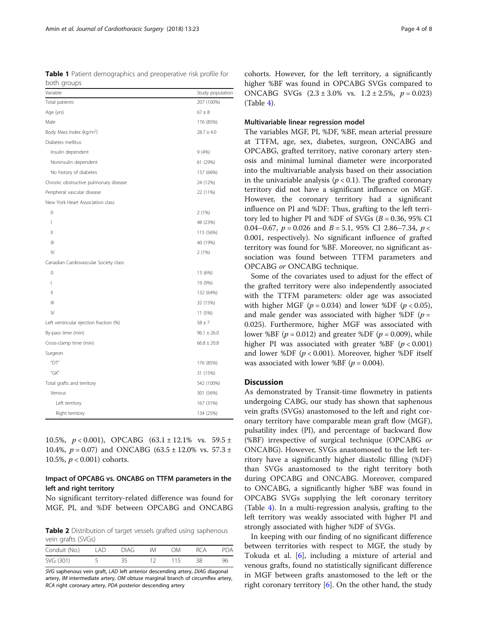10.5%,  $p < 0.001$ ), OPCABG  $(63.1 \pm 12.1\% \text{ vs. } 59.5 \pm 10.5\% \text{ or } 59.5 \pm 10.5\% \text{ or } 59.5 \pm 10.5\% \text{ or } 59.5 \pm 10.5\% \text{ or } 59.5 \pm 10.5\% \text{ or } 59.5 \pm 10.5\% \text{ or } 59.5 \pm 10.5\% \text{ or } 59.5 \pm 10.5\% \text{ or } 59.5 \pm 10.5\% \text{ or } 5$ 10.4%,  $p = 0.07$ ) and ONCABG (63.5 ± 12.0% vs. 57.3 ± 10.5%,  $p < 0.001$ ) cohorts.

# Impact of OPCABG vs. ONCABG on TTFM parameters in the left and right territory

No significant territory-related difference was found for MGF, PI, and %DF between OPCABG and ONCABG

Table 2 Distribution of target vessels grafted using saphenous vein grafts (SVGs)

| $v$ can give to $v$ and $v$ |  |       |     |      |       |            |  |  |  |
|-----------------------------|--|-------|-----|------|-------|------------|--|--|--|
| Conduit (No.) LAD           |  | DIAG. | IM. | OM.  | RCA - | <b>PDA</b> |  |  |  |
| SVG (301)                   |  |       |     | 115. | 38    | 96         |  |  |  |

SVG saphenous vein graft, LAD left anterior descending artery, DIAG diagonal artery, IM intermediate artery, OM obtuse marginal branch of circumflex artery, RCA right coronary artery, PDA posterior descending artery

cohorts. However, for the left territory, a significantly higher %BF was found in OPCABG SVGs compared to ONCABG SVGs  $(2.3 \pm 3.0\% \text{ vs. } 1.2 \pm 2.5\%, \ p = 0.023)$ (Table [4\)](#page-5-0).

#### Multivariable linear regression model

The variables MGF, PI, %DF, %BF, mean arterial pressure at TTFM, age, sex, diabetes, surgeon, ONCABG and OPCABG, grafted territory, native coronary artery stenosis and minimal luminal diameter were incorporated into the multivariable analysis based on their association in the univariable analysis ( $p < 0.1$ ). The grafted coronary territory did not have a significant influence on MGF. However, the coronary territory had a significant influence on PI and %DF: Thus, grafting to the left territory led to higher PI and %DF of SVGs ( $B = 0.36$ , 95% CI 0.04–0.67,  $p = 0.026$  and  $B = 5.1$ , 95% CI 2.86–7.34,  $p <$ 0.001, respectively). No significant influence of grafted territory was found for %BF. Moreover, no significant association was found between TTFM parameters and OPCABG or ONCABG technique.

Some of the covariates used to adjust for the effect of the grafted territory were also independently associated with the TTFM parameters: older age was associated with higher MGF ( $p = 0.034$ ) and lower %DF ( $p < 0.05$ ), and male gender was associated with higher %DF ( $p =$ 0.025). Furthermore, higher MGF was associated with lower %BF ( $p = 0.012$ ) and greater %DF ( $p = 0.009$ ), while higher PI was associated with greater %BF  $(p < 0.001)$ and lower %DF ( $p < 0.001$ ). Moreover, higher %DF itself was associated with lower %BF ( $p = 0.004$ ).

### **Discussion**

As demonstrated by Transit-time flowmetry in patients undergoing CABG, our study has shown that saphenous vein grafts (SVGs) anastomosed to the left and right coronary territory have comparable mean graft flow (MGF), pulsatility index (PI), and percentage of backward flow (%BF) irrespective of surgical technique (OPCABG or ONCABG). However, SVGs anastomosed to the left territory have a significantly higher diastolic filling (%DF) than SVGs anastomosed to the right territory both during OPCABG and ONCABG. Moreover, compared to ONCABG, a significantly higher %BF was found in OPCABG SVGs supplying the left coronary territory (Table [4\)](#page-5-0). In a multi-regression analysis, grafting to the left territory was weakly associated with higher PI and strongly associated with higher %DF of SVGs.

In keeping with our finding of no significant difference between territories with respect to MGF, the study by Tokuda et al. [\[6](#page-6-0)], including a mixture of arterial and venous grafts, found no statistically significant difference in MGF between grafts anastomosed to the left or the right coronary territory  $[6]$ . On the other hand, the study

<span id="page-3-0"></span>Table 1 Patient demographics and preoperative risk profile for both groups

| Variable                               | Study population |
|----------------------------------------|------------------|
| Total patients                         | 207 (100%)       |
| Age (yrs)                              | $67 \pm 8$       |
| Male                                   | 176 (85%)        |
| Body Mass Index (kg/m <sup>2</sup> )   | $28.7 \pm 4.0$   |
| Diabetes mellitus                      |                  |
| Insulin dependent                      | 9(4%)            |
| Noninsulin dependent                   | 61 (29%)         |
| No history of diabetes                 | 137 (66%)        |
| Chronic obstructive pulmonary disease  | 24 (12%)         |
| Peripheral vascular disease            | 22 (11%)         |
| New York Heart Association class       |                  |
| 0                                      | 2(1%)            |
| $\overline{1}$                         | 48 (23%)         |
| Ш                                      | 115 (56%)        |
| Ш                                      | 40 (19%)         |
| IV                                     | 2 (1%)           |
| Canadian Cardiovascular Society class  |                  |
| 0                                      | 13 (6%)          |
| ı                                      | 19 (9%)          |
| Ш                                      | 132 (64%)        |
| Ш                                      | 32 (15%)         |
| $\mathsf{IV}$                          | 11 (5%)          |
| Left ventricular ejection fraction (%) | $58 + 7$         |
| By-pass time (min)                     | $96.1 \pm 26.0$  |
| Cross-clamp time (min)                 | $66.8 \pm 20.8$  |
| Surgeon                                |                  |
| "DT"                                   | 176 (85%)        |
| "GK"                                   | 31 (15%)         |
| Total grafts and territory             | 542 (100%)       |
| Venous                                 | 301 (56%)        |
| Left territory                         | 167 (31%)        |
| Right territory                        | 134 (25%)        |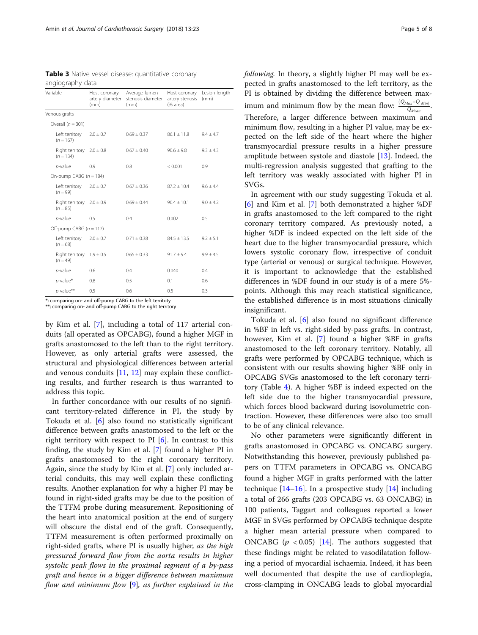<span id="page-4-0"></span>Table 3 Native vessel disease: quantitative coronary angiography data

| Variable                                    | Host coronary<br>artery diameter<br>(mm) | Average lumen<br>stenosis diameter<br>(mm) | Host coronary<br>artery stenosis<br>(% area) | Lesion length<br>(mm) |  |
|---------------------------------------------|------------------------------------------|--------------------------------------------|----------------------------------------------|-----------------------|--|
| Venous grafts                               |                                          |                                            |                                              |                       |  |
| Overall $(n = 301)$                         |                                          |                                            |                                              |                       |  |
| Left territory<br>$(n = 167)$               | $2.0 + 0.7$                              | $0.69 + 0.37$                              | $86.1 + 11.8$                                | $9.4 + 4.7$           |  |
| Right territory<br>$(n = 134)$              | $2.0 \pm 0.8$                            | $0.67 \pm 0.40$                            | $90.6 + 9.8$                                 | $9.3 + 4.3$           |  |
| p-value                                     | 0.9                                      | 0.8                                        | < 0.001                                      | 0.9                   |  |
| On-pump CABG $(n = 184)$                    |                                          |                                            |                                              |                       |  |
| Left territory<br>$(n = 99)$                | $2.0 \pm 0.7$                            | $0.67 \pm 0.36$                            | $87.2 + 10.4$                                | $9.6 + 4.4$           |  |
| Right territory $2.0 \pm 0.9$<br>$(n = 85)$ |                                          | $0.69 \pm 0.44$                            | $90.4 + 10.1$                                | $9.0 \pm 4.2$         |  |
| $p$ -value                                  | 0.5                                      | 0.4                                        | 0.002                                        | 0.5                   |  |
| Off-pump CABG $(n = 117)$                   |                                          |                                            |                                              |                       |  |
| Left territory<br>$(n = 68)$                | $2.0 \pm 0.7$                            | $0.71 \pm 0.38$                            | $84.5 + 13.5$                                | $9.2 + 5.1$           |  |
| Right territory<br>$(n = 49)$               | $1.9 \pm 0.5$                            | $0.65 \pm 0.33$                            | $91.7 \pm 9.4$                               | $9.9 \pm 4.5$         |  |
| $p$ -value                                  | 0.6                                      | 0.4                                        | 0.040                                        | 0.4                   |  |
| $p$ -value*                                 | 0.8                                      | 0.5                                        | 0.1                                          | 0.6                   |  |
| p-value**                                   | 0.5                                      | 0.6                                        | 0.5                                          | 0.3                   |  |

\*; comparing on- and off-pump CABG to the left territoty

\*\*; comparing on- and off-pump CABG to the right territory

by Kim et al. [\[7\]](#page-6-0), including a total of 117 arterial conduits (all operated as OPCABG), found a higher MGF in grafts anastomosed to the left than to the right territory. However, as only arterial grafts were assessed, the structural and physiological differences between arterial and venous conduits [\[11,](#page-7-0) [12](#page-7-0)] may explain these conflicting results, and further research is thus warranted to address this topic.

In further concordance with our results of no significant territory-related difference in PI, the study by Tokuda et al. [\[6](#page-6-0)] also found no statistically significant difference between grafts anastomosed to the left or the right territory with respect to PI [\[6](#page-6-0)]. In contrast to this finding, the study by Kim et al. [[7\]](#page-6-0) found a higher PI in grafts anastomosed to the right coronary territory. Again, since the study by Kim et al. [\[7](#page-6-0)] only included arterial conduits, this may well explain these conflicting results. Another explanation for why a higher PI may be found in right-sided grafts may be due to the position of the TTFM probe during measurement. Repositioning of the heart into anatomical position at the end of surgery will obscure the distal end of the graft. Consequently, TTFM measurement is often performed proximally on right-sided grafts, where PI is usually higher, as the high pressured forward flow from the aorta results in higher systolic peak flows in the proximal segment of a by-pass graft and hence in a bigger difference between maximum flow and minimum flow [\[9](#page-7-0)], as further explained in the following. In theory, a slightly higher PI may well be expected in grafts anastomosed to the left territory, as the PI is obtained by dividing the difference between maximum and minimum flow by the mean flow:  $\frac{(Q_{Max}-Q_{Min})}{Q_{Mean}}$ . Therefore, a larger difference between maximum and minimum flow, resulting in a higher PI value, may be expected on the left side of the heart where the higher transmyocardial pressure results in a higher pressure amplitude between systole and diastole [[13](#page-7-0)]. Indeed, the multi-regression analysis suggested that grafting to the left territory was weakly associated with higher PI in SVGs.

In agreement with our study suggesting Tokuda et al. [[6\]](#page-6-0) and Kim et al. [\[7](#page-6-0)] both demonstrated a higher %DF in grafts anastomosed to the left compared to the right coronary territory compared. As previously noted, a higher %DF is indeed expected on the left side of the heart due to the higher transmyocardial pressure, which lowers systolic coronary flow, irrespective of conduit type (arterial or venous) or surgical technique. However, it is important to acknowledge that the established differences in %DF found in our study is of a mere 5% points. Although this may reach statistical significance, the established difference is in most situations clinically insignificant.

Tokuda et al. [[6\]](#page-6-0) also found no significant difference in %BF in left vs. right-sided by-pass grafts. In contrast, however, Kim et al. [[7\]](#page-6-0) found a higher %BF in grafts anastomosed to the left coronary territory. Notably, all grafts were performed by OPCABG technique, which is consistent with our results showing higher %BF only in OPCABG SVGs anastomosed to the left coronary territory (Table [4\)](#page-5-0). A higher %BF is indeed expected on the left side due to the higher transmyocardial pressure, which forces blood backward during isovolumetric contraction. However, these differences were also too small to be of any clinical relevance.

No other parameters were significantly different in grafts anastomosed in OPCABG vs. ONCABG surgery. Notwithstanding this however, previously published papers on TTFM parameters in OPCABG vs. ONCABG found a higher MGF in grafts performed with the latter technique  $[14–16]$  $[14–16]$  $[14–16]$  $[14–16]$  $[14–16]$ . In a prospective study  $[14]$  including a total of 266 grafts (203 OPCABG vs. 63 ONCABG) in 100 patients, Taggart and colleagues reported a lower MGF in SVGs performed by OPCABG technique despite a higher mean arterial pressure when compared to ONCABG ( $p < 0.05$ ) [[14\]](#page-7-0). The authors suggested that these findings might be related to vasodilatation following a period of myocardial ischaemia. Indeed, it has been well documented that despite the use of cardioplegia, cross-clamping in ONCABG leads to global myocardial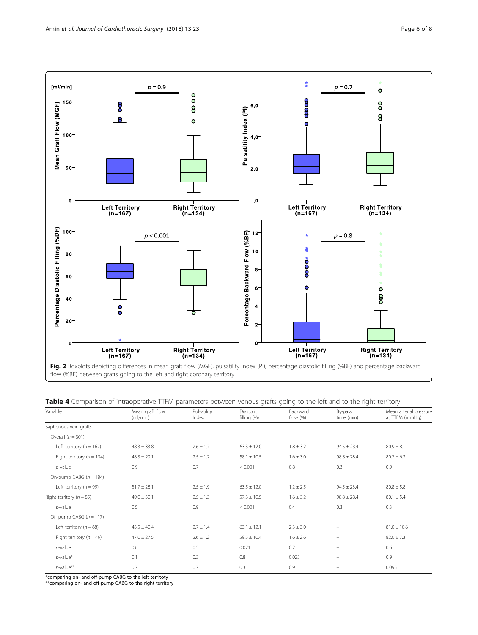<span id="page-5-0"></span>

|  |  |  | Table 4 Comparison of intraoperative TTFM parameters between venous grafts going to the left and to the right territory |  |  |  |  |  |  |
|--|--|--|-------------------------------------------------------------------------------------------------------------------------|--|--|--|--|--|--|
|  |  |  |                                                                                                                         |  |  |  |  |  |  |

| Variable                      | Mean graft flow | Pulsatility   | Diastolic       | Backward      | By-pass                  | Mean arterial pressure |
|-------------------------------|-----------------|---------------|-----------------|---------------|--------------------------|------------------------|
|                               | (ml/min)        | Index         | filling (%)     | flow $(%)$    | time (min)               | at TTFM (mmHg)         |
| Saphenous vein grafts         |                 |               |                 |               |                          |                        |
| Overall $(n = 301)$           |                 |               |                 |               |                          |                        |
| Left territory ( $n = 167$ )  | $48.3 \pm 33.8$ | $2.6 \pm 1.7$ | $63.3 \pm 12.0$ | $1.8 \pm 3.2$ | $94.5 \pm 23.4$          | $80.9 \pm 8.1$         |
| Right territory ( $n = 134$ ) | $48.3 \pm 29.1$ | $2.5 \pm 1.2$ | $58.1 \pm 10.5$ | $1.6 \pm 3.0$ | $98.8 \pm 28.4$          | $80.7 \pm 6.2$         |
| $p$ -value                    | 0.9             | 0.7           | < 0.001         | 0.8           | 0.3                      | 0.9                    |
| On-pump CABG $(n = 184)$      |                 |               |                 |               |                          |                        |
| Left territory ( $n = 99$ )   | $51.7 \pm 28.1$ | $2.5 \pm 1.9$ | $63.5 \pm 12.0$ | $1.2 \pm 2.5$ | $94.5 \pm 23.4$          | $80.8 \pm 5.8$         |
| Right territory ( $n = 85$ )  | $49.0 \pm 30.1$ | $2.5 \pm 1.3$ | $57.3 \pm 10.5$ | $1.6 \pm 3.2$ | $98.8 \pm 28.4$          | $80.1 \pm 5.4$         |
| $p$ -value                    | 0.5             | 0.9           | < 0.001         | 0.4           | 0.3                      | 0.3                    |
| Off-pump CABG $(n = 117)$     |                 |               |                 |               |                          |                        |
| Left territory ( $n = 68$ )   | $43.5 \pm 40.4$ | $2.7 \pm 1.4$ | $63.1 \pm 12.1$ | $2.3 \pm 3.0$ | $\overline{\phantom{0}}$ | $81.0 \pm 10.6$        |
| Right territory ( $n = 49$ )  | $47.0 \pm 27.5$ | $2.6 \pm 1.2$ | $59.5 \pm 10.4$ | $1.6 \pm 2.6$ | $\qquad \qquad -$        | $82.0 \pm 7.3$         |
| $p$ -value                    | 0.6             | 0.5           | 0.071           | 0.2           | $\qquad \qquad -$        | 0.6                    |
| $p$ -value*                   | 0.1             | 0.3           | 0.8             | 0.023         | $\qquad \qquad -$        | 0.9                    |
| $p$ -value**                  | 0.7             | 0.7           | 0.3             | 0.9           |                          | 0.095                  |

\*comparing on- and off-pump CABG to the left territoty

\*\*comparing on- and off-pump CABG to the right territory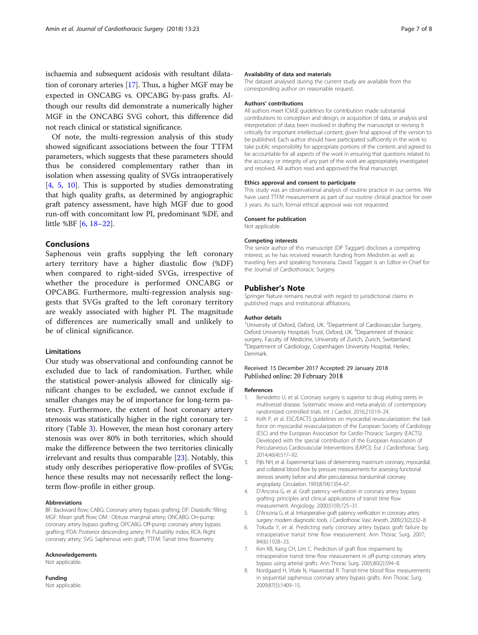<span id="page-6-0"></span>ischaemia and subsequent acidosis with resultant dilatation of coronary arteries [\[17\]](#page-7-0). Thus, a higher MGF may be expected in ONCABG vs. OPCABG by-pass grafts. Although our results did demonstrate a numerically higher MGF in the ONCABG SVG cohort, this difference did not reach clinical or statistical significance.

Of note, the multi-regression analysis of this study showed significant associations between the four TTFM parameters, which suggests that these parameters should thus be considered complementary rather than in isolation when assessing quality of SVGs intraoperatively [4, 5, [10\]](#page-7-0). This is supported by studies demonstrating that high quality grafts, as determined by angiographic graft patency assessment, have high MGF due to good run-off with concomitant low PI, predominant %DF, and little %BF [6, [18](#page-7-0)–[22](#page-7-0)].

### Conclusions

Saphenous vein grafts supplying the left coronary artery territory have a higher diastolic flow (%DF) when compared to right-sided SVGs, irrespective of whether the procedure is performed ONCABG or OPCABG. Furthermore, multi-regression analysis suggests that SVGs grafted to the left coronary territory are weakly associated with higher PI. The magnitude of differences are numerically small and unlikely to be of clinical significance.

#### Limitations

Our study was observational and confounding cannot be excluded due to lack of randomisation. Further, while the statistical power-analysis allowed for clinically significant changes to be excluded, we cannot exclude if smaller changes may be of importance for long-term patency. Furthermore, the extent of host coronary artery stenosis was statistically higher in the right coronary territory (Table [3\)](#page-4-0). However, the mean host coronary artery stenosis was over 80% in both territories, which should make the difference between the two territories clinically irrelevant and results thus comparable [\[23](#page-7-0)]. Notably, this study only describes perioperative flow-profiles of SVGs; hence these results may not necessarily reflect the longterm flow-profile in either group.

#### Abbreviations

BF: Backward flow; CABG: Coronary artery bypass grafting; DF: Diastollic filling; MGF: Mean graft flow; OM : Obtuse marginal artery; ONCABG: On-pump coronary artery bypass grafting; OPCABG: Off-pump coronary artery bypass grafting; PDA: Posterior descending artery; PI: Pulsatility index; RCA: Right coronary artery; SVG: Saphenous vein graft; TTFM: Tansit time flowmetry

#### Acknowledgements

Not applicable.

#### Funding

Not applicable.

#### Availability of data and materials

The dataset analysed during the current study are available from the corresponding author on reasonable request.

#### Authors' contributions

All authors meet ICMJE guidelines for contribution: made substantial contributions to conception and design, or acquisition of data, or analysis and interpretation of data; been involved in drafting the manuscript or revising it critically for important intellectual content; given final approval of the version to be published. Each author should have participated sufficiently in the work to take public responsibility for appropriate portions of the content; and agreed to be accountable for all aspects of the work in ensuring that questions related to the accuracy or integrity of any part of the work are appropriately investigated and resolved. All authors read and approved the final manuscript.

#### Ethics approval and consent to participate

This study was an observational analysis of routine practice in our centre. We have used TTFM measurement as part of our routine clinical practice for over 3 years. As such, formal ethical approval was not requested.

#### Consent for publication

Not applicable.

#### Competing interests

The senior author of this manuscript (DP Taggart) discloses a competing interest, as he has received research funding from Medistim as well as traveling fees and speaking honoraria. David Taggart is an Editor-in-Chief for the Journal of Cardiothoracic Surgery.

#### Publisher's Note

Springer Nature remains neutral with regard to jurisdictional claims in published maps and institutional affiliations.

#### Author details

<sup>1</sup>University of Oxford, Oxford, UK. <sup>2</sup>Department of Cardiovascular Surgery, Oxford University Hospitals Trust, Oxford, UK.<sup>3</sup> Department of thoracic surgery, Faculty of Medicine, University of Zurich, Zurich, Switzerland. 4 Department of Cardiology, Copenhagen University Hospital, Herlev, Denmark.

## Received: 15 December 2017 Accepted: 29 January 2018 Published online: 20 February 2018

#### References

- Benedetto U, et al. Coronary surgery is superior to drug eluting stents in multivessel disease. Systematic review and meta-analysis of contemporary randomized controlled trials. Int J Cardiol. 2016;210:19–24.
- 2. Kolh P, et al. ESC/EACTS guidelines on myocardial revascularization: the task force on myocardial revascularization of the European Society of Cardiology (ESC) and the European Association for Cardio-Thoracic Surgery (EACTS). Developed with the special contribution of the European Association of Percutaneous Cardiovascular Interventions (EAPCI). Eur J Cardiothorac Surg. 2014;46(4):517–92.
- 3. Pijls NH, et al. Experimental basis of determining maximum coronary, myocardial, and collateral blood flow by pressure measurements for assessing functional stenosis severity before and after percutaneous transluminal coronary angioplasty. Circulation. 1993;87(4):1354–67.
- 4. D'Ancona G, et al. Graft patency verification in coronary artery bypass grafting: principles and clinical applications of transit time flow measurement. Angiology. 2000;51(9):725–31.
- 5. D'Ancona G, et al. Intraoperative graft patency verification in coronary artery surgery: modern diagnostic tools. J Cardiothorac Vasc Anesth. 2009;23(2):232–8.
- 6. Tokuda Y, et al. Predicting early coronary artery bypass graft failure by intraoperative transit time flow measurement. Ann Thorac Surg. 2007; 84(6):1928–33.
- 7. Kim KB, Kang CH, Lim C. Prediction of graft flow impairment by intraoperative transit time flow measurement in off-pump coronary artery bypass using arterial grafts. Ann Thorac Surg. 2005;80(2):594–8.
- 8. Nordgaard H, Vitale N, Haaverstad R. Transit-time blood flow measurements in sequential saphenous coronary artery bypass grafts. Ann Thorac Surg. 2009;87(5):1409–15.